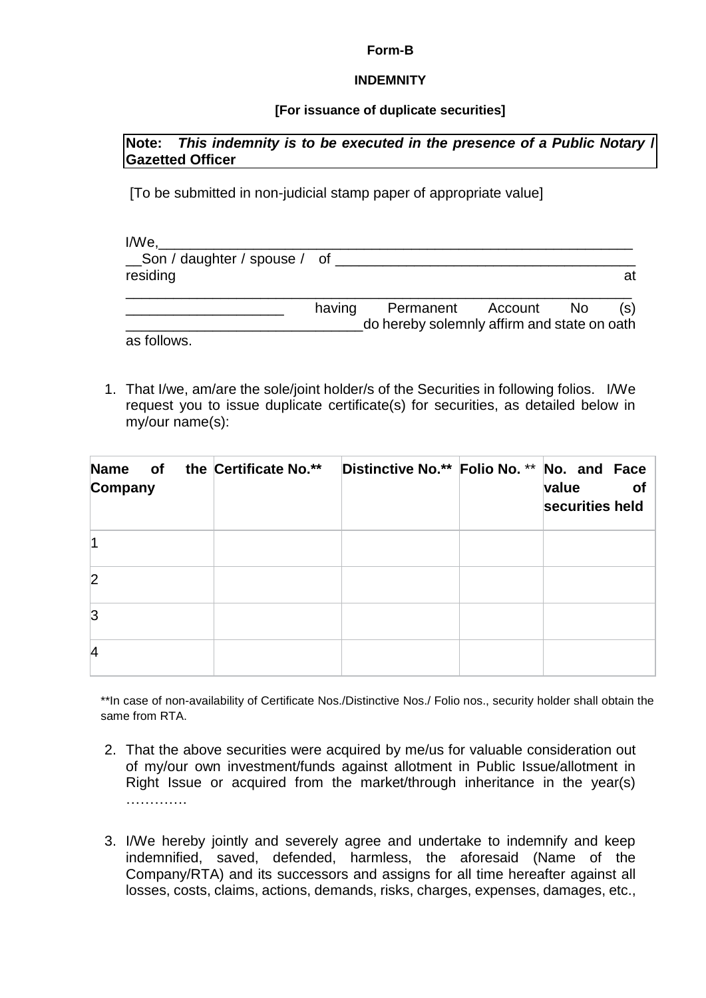#### **Form-B**

### **INDEMNITY**

## **[For issuance of duplicate securities]**

## **Note:** *This indemnity is to be executed in the presence of a Public Notary* **/ Gazetted Officer**

[To be submitted in non-judicial stamp paper of appropriate value]

| I/We.                        |        |                                             |  |     |
|------------------------------|--------|---------------------------------------------|--|-----|
| Son / daughter / spouse / of |        |                                             |  |     |
| residing                     |        |                                             |  | at  |
|                              | having | Permanent Account No                        |  | (s) |
|                              |        | do hereby solemnly affirm and state on oath |  |     |
| as follows.                  |        |                                             |  |     |

1. That I/we, am/are the sole/joint holder/s of the Securities in following folios. I/We request you to issue duplicate certificate(s) for securities, as detailed below in my/our name(s):

| <b>Name</b><br>of<br>Company | the Certificate No.** | Distinctive No.** Folio No. ** No. and Face | of<br>value<br>securities held |
|------------------------------|-----------------------|---------------------------------------------|--------------------------------|
|                              |                       |                                             |                                |
| $\overline{2}$               |                       |                                             |                                |
| 3                            |                       |                                             |                                |
| 4                            |                       |                                             |                                |

\*\*In case of non-availability of Certificate Nos./Distinctive Nos./ Folio nos., security holder shall obtain the same from RTA.

- 2. That the above securities were acquired by me/us for valuable consideration out of my/our own investment/funds against allotment in Public Issue/allotment in Right Issue or acquired from the market/through inheritance in the year(s) ……………
- 3. I/We hereby jointly and severely agree and undertake to indemnify and keep indemnified, saved, defended, harmless, the aforesaid (Name of the Company/RTA) and its successors and assigns for all time hereafter against all losses, costs, claims, actions, demands, risks, charges, expenses, damages, etc.,